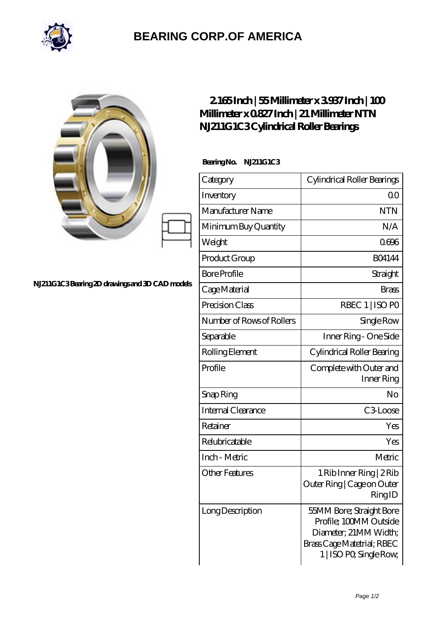

## **[BEARING CORP.OF AMERICA](https://m.bluemondayreview.com)**

|                                                 | $2165$ Inch   55Millimeter x 3937Inch   100<br>Millimeter x 0827 Inch   21 Millimeter NTN<br>N.1211G1C3Cylindrical Roller Bearings |                                                                                                                                      |
|-------------------------------------------------|------------------------------------------------------------------------------------------------------------------------------------|--------------------------------------------------------------------------------------------------------------------------------------|
| N.1211G1C3Bearing 2D drawings and 3D CAD models | BearingNo.<br><b>N.211G1C3</b>                                                                                                     |                                                                                                                                      |
|                                                 | Category                                                                                                                           | Cylindrical Roller Bearings                                                                                                          |
|                                                 | Inventory                                                                                                                          | 0 <sup>0</sup>                                                                                                                       |
|                                                 | Manufacturer Name                                                                                                                  | <b>NTN</b>                                                                                                                           |
|                                                 | Minimum Buy Quantity                                                                                                               | N/A                                                                                                                                  |
|                                                 | Weight                                                                                                                             | 0696                                                                                                                                 |
|                                                 | Product Group                                                                                                                      | <b>BO4144</b>                                                                                                                        |
|                                                 | <b>Bore Profile</b>                                                                                                                | Straight                                                                                                                             |
|                                                 | Cage Material                                                                                                                      | <b>Brass</b>                                                                                                                         |
|                                                 | Precision Class                                                                                                                    | RBEC 1   ISO PO                                                                                                                      |
|                                                 | Number of Rows of Rollers                                                                                                          | Single Row                                                                                                                           |
|                                                 | Separable                                                                                                                          | Inner Ring - One Side                                                                                                                |
|                                                 | Rolling Element                                                                                                                    | Cylindrical Roller Bearing                                                                                                           |
|                                                 | Profile                                                                                                                            | Complete with Outer and<br>Inner Ring                                                                                                |
|                                                 | Snap Ring                                                                                                                          | No                                                                                                                                   |
|                                                 | Internal Clearance                                                                                                                 | C3 Loose                                                                                                                             |
|                                                 | Retainer                                                                                                                           | Yes                                                                                                                                  |
|                                                 | Relubricatable                                                                                                                     | Yes                                                                                                                                  |
|                                                 | Inch - Metric                                                                                                                      | Metric                                                                                                                               |
|                                                 | <b>Other Features</b>                                                                                                              | 1 Rib Inner Ring   2 Rib<br>Outer Ring   Cage on Outer<br>RingID                                                                     |
|                                                 | Long Description                                                                                                                   | 55MM Bore; Straight Bore<br>Profile; 100MM Outside<br>Diameter; 21MM Width;<br>Brass Cage Matetrial; RBEC<br>1   ISO PO, Single Row, |